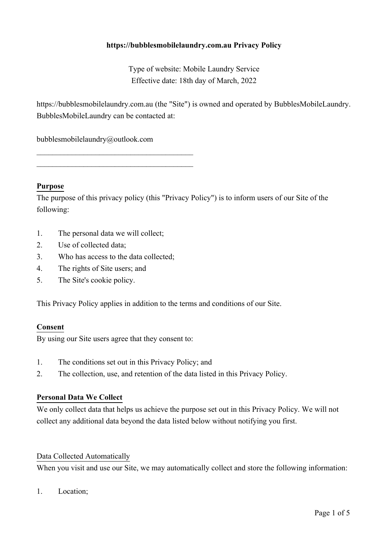# **https://bubblesmobilelaundry.com.au Privacy Policy**

Type of website: Mobile Laundry Service Effective date: 18th day of March, 2022

https://bubblesmobilelaundry.com.au (the "Site") is owned and operated by BubblesMobileLaundry. BubblesMobileLaundry can be contacted at:

bubblesmobilelaundry@outlook.com

 $\mathcal{L}_\mathcal{L}$  , which is a set of the set of the set of the set of the set of the set of the set of the set of the set of the set of the set of the set of the set of the set of the set of the set of the set of the set of

 $\mathcal{L}_\mathcal{L}$  , which is a set of the set of the set of the set of the set of the set of the set of the set of the set of the set of the set of the set of the set of the set of the set of the set of the set of the set of

### **Purpose**

The purpose of this privacy policy (this "Privacy Policy") is to inform users of our Site of the following:

- 1. The personal data we will collect;
- 2. Use of collected data;
- 3. Who has access to the data collected;
- 4. The rights of Site users; and
- 5. The Site's cookie policy.

This Privacy Policy applies in addition to the terms and conditions of our Site.

#### **Consent**

By using our Site users agree that they consent to:

- 1. The conditions set out in this Privacy Policy; and
- 2. The collection, use, and retention of the data listed in this Privacy Policy.

#### **Personal Data We Collect**

We only collect data that helps us achieve the purpose set out in this Privacy Policy. We will not collect any additional data beyond the data listed below without notifying you first.

#### Data Collected Automatically

When you visit and use our Site, we may automatically collect and store the following information:

1. Location;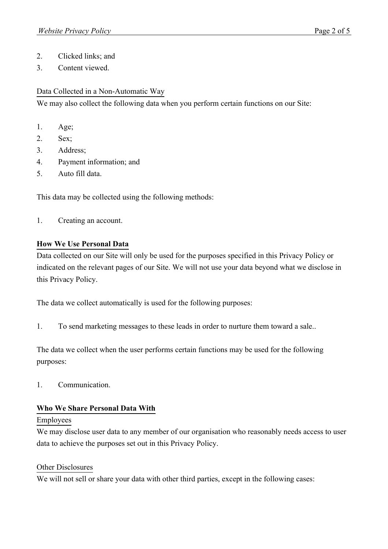- 2. Clicked links; and
- 3. Content viewed.

### Data Collected in a Non-Automatic Way

We may also collect the following data when you perform certain functions on our Site:

- 1. Age;
- 2. Sex;
- 3. Address;
- 4. Payment information; and
- 5. Auto fill data.

This data may be collected using the following methods:

1. Creating an account.

## **How We Use Personal Data**

Data collected on our Site will only be used for the purposes specified in this Privacy Policy or indicated on the relevant pages of our Site. We will not use your data beyond what we disclose in this Privacy Policy.

The data we collect automatically is used for the following purposes:

1. To send marketing messages to these leads in order to nurture them toward a sale..

The data we collect when the user performs certain functions may be used for the following purposes:

1. Communication.

### **Who We Share Personal Data With**

### Employees

We may disclose user data to any member of our organisation who reasonably needs access to user data to achieve the purposes set out in this Privacy Policy.

### Other Disclosures

We will not sell or share your data with other third parties, except in the following cases: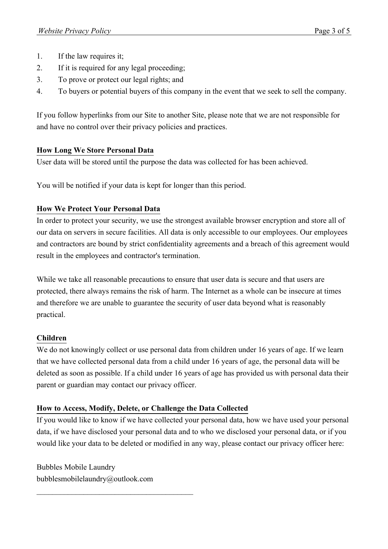- 1. If the law requires it;
- 2. If it is required for any legal proceeding;
- 3. To prove or protect our legal rights; and
- 4. To buyers or potential buyers of this company in the event that we seek to sell the company.

If you follow hyperlinks from our Site to another Site, please note that we are not responsible for and have no control over their privacy policies and practices.

## **How Long We Store Personal Data**

User data will be stored until the purpose the data was collected for has been achieved.

You will be notified if your data is kept for longer than this period.

# **How We Protect Your Personal Data**

In order to protect your security, we use the strongest available browser encryption and store all of our data on servers in secure facilities. All data is only accessible to our employees. Our employees and contractors are bound by strict confidentiality agreements and a breach of this agreement would result in the employees and contractor's termination.

While we take all reasonable precautions to ensure that user data is secure and that users are protected, there always remains the risk of harm. The Internet as a whole can be insecure at times and therefore we are unable to guarantee the security of user data beyond what is reasonably practical.

# **Children**

We do not knowingly collect or use personal data from children under 16 years of age. If we learn that we have collected personal data from a child under 16 years of age, the personal data will be deleted as soon as possible. If a child under 16 years of age has provided us with personal data their parent or guardian may contact our privacy officer.

# **How to Access, Modify, Delete, or Challenge the Data Collected**

If you would like to know if we have collected your personal data, how we have used your personal data, if we have disclosed your personal data and to who we disclosed your personal data, or if you would like your data to be deleted or modified in any way, please contact our privacy officer here:

Bubbles Mobile Laundry bubblesmobilelaundry@outlook.com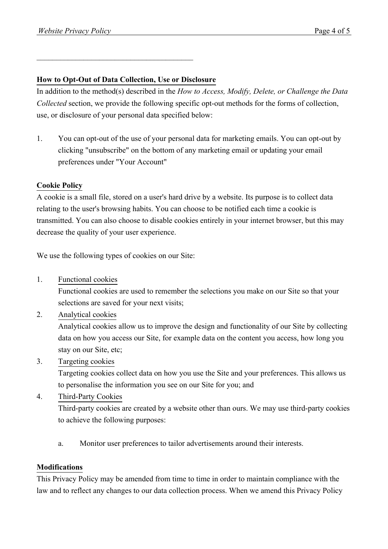### **How to Opt-Out of Data Collection, Use or Disclosure**

 $\mathcal{L}_\mathcal{L}$  , which is a set of the set of the set of the set of the set of the set of the set of the set of the set of the set of the set of the set of the set of the set of the set of the set of the set of the set of

In addition to the method(s) described in the *How to Access, Modify, Delete, or Challenge the Data Collected* section, we provide the following specific opt-out methods for the forms of collection, use, or disclosure of your personal data specified below:

1. You can opt-out of the use of your personal data for marketing emails. You can opt-out by clicking "unsubscribe" on the bottom of any marketing email or updating your email preferences under "Your Account"

## **Cookie Policy**

A cookie is a small file, stored on a user's hard drive by a website. Its purpose is to collect data relating to the user's browsing habits. You can choose to be notified each time a cookie is transmitted. You can also choose to disable cookies entirely in your internet browser, but this may decrease the quality of your user experience.

We use the following types of cookies on our Site:

1. Functional cookies

Functional cookies are used to remember the selections you make on our Site so that your selections are saved for your next visits;

2. Analytical cookies

Analytical cookies allow us to improve the design and functionality of our Site by collecting data on how you access our Site, for example data on the content you access, how long you stay on our Site, etc;

3. Targeting cookies

Targeting cookies collect data on how you use the Site and your preferences. This allows us to personalise the information you see on our Site for you; and

4. Third-Party Cookies

Third-party cookies are created by a website other than ours. We may use third-party cookies to achieve the following purposes:

a. Monitor user preferences to tailor advertisements around their interests.

### **Modifications**

This Privacy Policy may be amended from time to time in order to maintain compliance with the law and to reflect any changes to our data collection process. When we amend this Privacy Policy